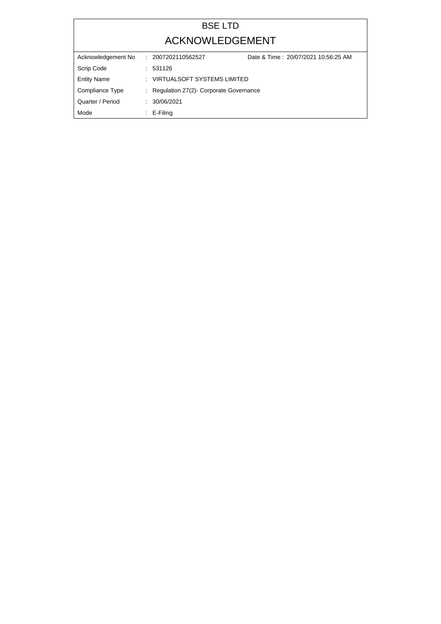## BSE LTD ACKNOWLEDGEMENT

| Acknowledgement No | Date & Time: 20/07/2021 10:56:25 AM<br>. 2007202110562527 |  |
|--------------------|-----------------------------------------------------------|--|
| Scrip Code         | : 531126                                                  |  |
| <b>Entity Name</b> | : VIRTUALSOFT SYSTEMS LIMITED                             |  |
| Compliance Type    | : Regulation 27(2)- Corporate Governance                  |  |
| Quarter / Period   | : 30/06/2021                                              |  |
| Mode               | $\therefore$ E-Filing                                     |  |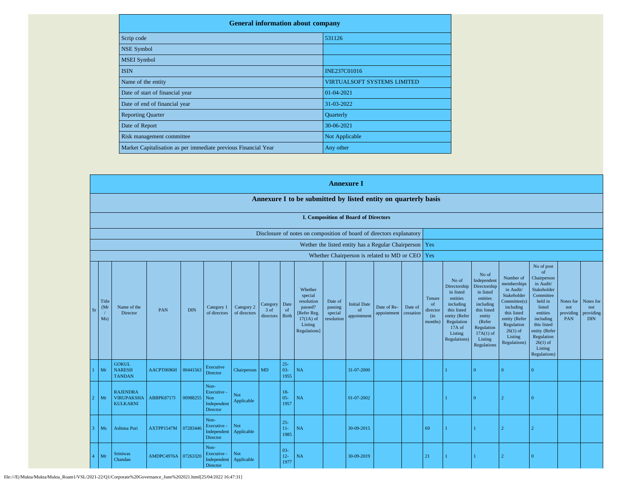| <b>General information about company</b>                       |                                    |  |  |  |  |  |  |
|----------------------------------------------------------------|------------------------------------|--|--|--|--|--|--|
| Scrip code                                                     | 531126                             |  |  |  |  |  |  |
| <b>NSE Symbol</b>                                              |                                    |  |  |  |  |  |  |
| <b>MSEI</b> Symbol                                             |                                    |  |  |  |  |  |  |
| <b>ISIN</b>                                                    | <b>INE237C01016</b>                |  |  |  |  |  |  |
| Name of the entity                                             | <b>VIRTUALSOFT SYSTEMS LIMITED</b> |  |  |  |  |  |  |
| Date of start of financial year                                | 01-04-2021                         |  |  |  |  |  |  |
| Date of end of financial year                                  | 31-03-2022                         |  |  |  |  |  |  |
| <b>Reporting Quarter</b>                                       | Quarterly                          |  |  |  |  |  |  |
| Date of Report                                                 | 30-06-2021                         |  |  |  |  |  |  |
| Risk management committee                                      | Not Applicable                     |  |  |  |  |  |  |
| Market Capitalisation as per immediate previous Financial Year | Any other                          |  |  |  |  |  |  |

|                              |                                                                |            |            |                                                           |                            |                               |                            |                                                                                                      |                                             | <b>Annexure I</b>                           |                                                          |                      |                                            |                                                                                                                                                |                                                                                                                                                                             |                                                                                                                                                                          |                                                                                                                                                                                                               |                                             |                                             |
|------------------------------|----------------------------------------------------------------|------------|------------|-----------------------------------------------------------|----------------------------|-------------------------------|----------------------------|------------------------------------------------------------------------------------------------------|---------------------------------------------|---------------------------------------------|----------------------------------------------------------|----------------------|--------------------------------------------|------------------------------------------------------------------------------------------------------------------------------------------------|-----------------------------------------------------------------------------------------------------------------------------------------------------------------------------|--------------------------------------------------------------------------------------------------------------------------------------------------------------------------|---------------------------------------------------------------------------------------------------------------------------------------------------------------------------------------------------------------|---------------------------------------------|---------------------------------------------|
|                              | Annexure I to be submitted by listed entity on quarterly basis |            |            |                                                           |                            |                               |                            |                                                                                                      |                                             |                                             |                                                          |                      |                                            |                                                                                                                                                |                                                                                                                                                                             |                                                                                                                                                                          |                                                                                                                                                                                                               |                                             |                                             |
|                              |                                                                |            |            |                                                           |                            |                               |                            |                                                                                                      |                                             | <b>I. Composition of Board of Directors</b> |                                                          |                      |                                            |                                                                                                                                                |                                                                                                                                                                             |                                                                                                                                                                          |                                                                                                                                                                                                               |                                             |                                             |
|                              |                                                                |            |            |                                                           |                            |                               |                            | Disclosure of notes on composition of board of directors explanatory                                 |                                             |                                             |                                                          |                      |                                            |                                                                                                                                                |                                                                                                                                                                             |                                                                                                                                                                          |                                                                                                                                                                                                               |                                             |                                             |
|                              |                                                                |            |            |                                                           |                            |                               |                            |                                                                                                      |                                             |                                             | Wether the listed entity has a Regular Chairperson   Yes |                      |                                            |                                                                                                                                                |                                                                                                                                                                             |                                                                                                                                                                          |                                                                                                                                                                                                               |                                             |                                             |
|                              |                                                                |            |            |                                                           |                            |                               |                            |                                                                                                      |                                             |                                             | Whether Chairperson is related to MD or CEO Yes          |                      |                                            |                                                                                                                                                |                                                                                                                                                                             |                                                                                                                                                                          |                                                                                                                                                                                                               |                                             |                                             |
| Title<br>(Mr<br>$S_I$<br>Ms) | Name of the<br>Director                                        | <b>PAN</b> | <b>DIN</b> | Category 1<br>of directors                                | Category 2<br>of directors | Category<br>3 of<br>directors | Date<br>of<br><b>Birth</b> | Whether<br>special<br>resolution<br>passed?<br>[Refer Reg.<br>$17(1A)$ of<br>Listing<br>Regulations] | Date of<br>passing<br>special<br>resolution | <b>Initial Date</b><br>of<br>appointment    | Date of Re-<br>appointment                               | Date of<br>cessation | Tenure<br>of<br>director<br>(in<br>months) | No of<br>Directorship<br>in listed<br>entities<br>including<br>this listed<br>entity (Refer<br>Regulation<br>17A of<br>Listing<br>Regulations) | No of<br>Independent<br>Directorship<br>in listed<br>entities<br>including<br>this listed<br>entity<br>(Refer<br>Regulation<br>$17A(1)$ of<br>Listing<br><b>Regulations</b> | Number of<br>memberships<br>in Audit/<br>Stakeholder<br>Committee(s)<br>including<br>this listed<br>entity (Refer<br>Regulation<br>$26(1)$ of<br>Listing<br>Regulations) | No of post<br>of<br>Chairperson<br>in Audit/<br>Stakeholder<br>Committee<br>held in<br>listed<br>entities<br>including<br>this listed<br>entity (Refer<br>Regulation<br>$26(1)$ of<br>Listing<br>Regulations) | Notes for<br>not<br>providing<br><b>PAN</b> | Notes for<br>not<br>providing<br><b>DIN</b> |
| Mr                           | <b>GOKUL</b><br><b>NARESH</b><br><b>TANDAN</b>                 | AACPT0696H | 00441563   | Executive<br>Director                                     | Chairperson MD             |                               | $25 -$<br>$03 -$<br>1955   | NA                                                                                                   |                                             | 31-07-2000                                  |                                                          |                      |                                            |                                                                                                                                                | $\overline{0}$                                                                                                                                                              | $\Omega$                                                                                                                                                                 | $\overline{0}$                                                                                                                                                                                                |                                             |                                             |
| Mr                           | <b>RAJENDRA</b><br><b>VIRUPAKSHA</b><br><b>KULKARNI</b>        | ABBPK8717J | 00988255   | Non-<br>Executive -<br>Non<br>Independent<br>Director     | Not<br>Applicable          |                               | $18-$<br>$05 -$<br>1957    | NA                                                                                                   |                                             | 01-07-2002                                  |                                                          |                      |                                            |                                                                                                                                                | $\Omega$                                                                                                                                                                    | $\mathcal{D}$                                                                                                                                                            | $\overline{0}$                                                                                                                                                                                                |                                             |                                             |
| Ms                           | Ashima Puri                                                    | AXTPP1547M | 07283446   | Non-<br>Executive -<br>Independent<br>Director            | Not<br>Applicable          |                               | $25 -$<br>$11-$<br>1985    | NA                                                                                                   |                                             | 30-09-2015                                  |                                                          |                      | 69                                         |                                                                                                                                                | $\mathbf{1}$                                                                                                                                                                |                                                                                                                                                                          |                                                                                                                                                                                                               |                                             |                                             |
| Mr                           | <b>Sriniwas</b><br>Chandan                                     | AMDPC4976A | 07263320   | Non-<br>Executive -<br>Independent Applicable<br>Director | Not                        |                               | $03 -$<br>$12 -$<br>1977   | NA                                                                                                   |                                             | 30-09-2019                                  |                                                          |                      | 21                                         |                                                                                                                                                |                                                                                                                                                                             |                                                                                                                                                                          | $\Omega$                                                                                                                                                                                                      |                                             |                                             |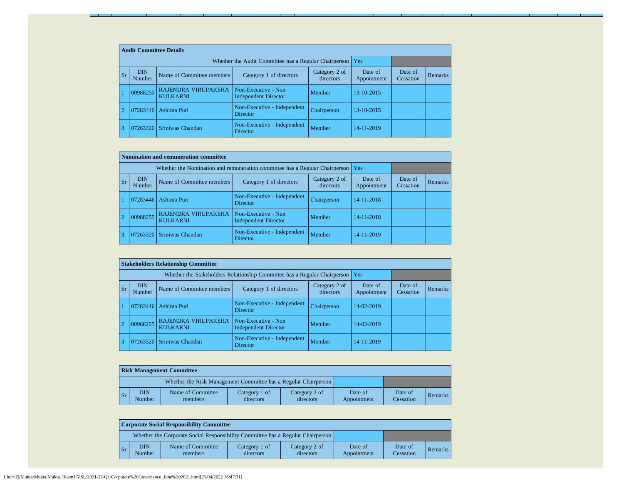|           | <b>Audit Committee Details</b> |                                        |                                                             |                            |                        |                      |                |  |  |  |  |
|-----------|--------------------------------|----------------------------------------|-------------------------------------------------------------|----------------------------|------------------------|----------------------|----------------|--|--|--|--|
|           |                                |                                        | Whether the Audit Committee has a Regular Chairperson   Yes |                            |                        |                      |                |  |  |  |  |
| <b>Sr</b> | <b>DIN</b><br>Number           | Name of Committee members              | Category 1 of directors                                     | Category 2 of<br>directors | Date of<br>Appointment | Date of<br>Cessation | <b>Remarks</b> |  |  |  |  |
|           | 00988255                       | RAJENDRA VIRUPAKSHA<br><b>KULKARNI</b> | Non-Executive - Non<br><b>Independent Director</b>          | Member                     | 13-10-2015             |                      |                |  |  |  |  |
|           | 07283446                       | Ashima Puri                            | Non-Executive - Independent<br><b>Director</b>              | Chairperson                | 13-10-2015             |                      |                |  |  |  |  |
|           | 07263320                       | Sriniwas Chandan                       | Non-Executive - Independent<br><b>Director</b>              | Member                     | 14-11-2019             |                      |                |  |  |  |  |

| Nomination and remuneration committee |                                                                             |                                               |                                                    |                            |                        |                      |         |  |  |  |
|---------------------------------------|-----------------------------------------------------------------------------|-----------------------------------------------|----------------------------------------------------|----------------------------|------------------------|----------------------|---------|--|--|--|
|                                       | Whether the Nomination and remuneration committee has a Regular Chairperson | l Yes                                         |                                                    |                            |                        |                      |         |  |  |  |
| <b>Sr</b>                             | <b>DIN</b><br>Number                                                        | Name of Committee members                     | Category 1 of directors                            | Category 2 of<br>directors | Date of<br>Appointment | Date of<br>Cessation | Remarks |  |  |  |
|                                       | 07283446                                                                    | Ashima Puri                                   | Non-Executive - Independent<br><b>Director</b>     | Chairperson                | 14-11-2018             |                      |         |  |  |  |
| $\overline{2}$                        | 00988255                                                                    | <b>RAJENDRA VIRUPAKSHA</b><br><b>KULKARNI</b> | Non-Executive - Non<br><b>Independent Director</b> | Member                     | 14-11-2018             |                      |         |  |  |  |
|                                       | 07263320                                                                    | Sriniwas Chandan                              | Non-Executive - Independent<br>Director            | Member                     | 14-11-2019             |                      |         |  |  |  |

|                |           |                      | <b>Stakeholders Relationship Committee</b> |                                                                                 |                            |                        |                      |         |
|----------------|-----------|----------------------|--------------------------------------------|---------------------------------------------------------------------------------|----------------------------|------------------------|----------------------|---------|
|                |           |                      |                                            | Whether the Stakeholders Relationship Committee has a Regular Chairperson   Yes |                            |                        |                      |         |
|                | <b>Sr</b> | <b>DIN</b><br>Number | Name of Committee members                  | Category 1 of directors                                                         | Category 2 of<br>directors | Date of<br>Appointment | Date of<br>Cessation | Remarks |
|                |           | 07283446             | Ashima Puri                                | Non-Executive - Independent<br><b>Director</b>                                  | Chairperson                | 14-02-2019             |                      |         |
| $\overline{2}$ |           | 00988255             | RAJENDRA VIRUPAKSHA<br><b>KULKARNI</b>     | Non-Executive - Non<br><b>Independent Director</b>                              | Member                     | 14-02-2019             |                      |         |
| 3              |           |                      | 07263320 Sriniwas Chandan                  | Non-Executive - Independent<br><b>Director</b>                                  | Member                     | 14-11-2019             |                      |         |

|                | <b>Risk Management Committee</b>                                |                              |                            |                            |                        |                      |         |  |  |  |  |
|----------------|-----------------------------------------------------------------|------------------------------|----------------------------|----------------------------|------------------------|----------------------|---------|--|--|--|--|
|                | Whether the Risk Management Committee has a Regular Chairperson |                              |                            |                            |                        |                      |         |  |  |  |  |
| $\mathsf{S}$ r | <b>DIN</b><br>Number                                            | Name of Committee<br>members | Category 1 of<br>directors | Category 2 of<br>directors | Date of<br>Appointment | Date of<br>Cessation | Remarks |  |  |  |  |

|                | <b>Corporate Social Responsibility Committee</b>                                |                              |                            |                            |                        |                      |         |  |  |  |
|----------------|---------------------------------------------------------------------------------|------------------------------|----------------------------|----------------------------|------------------------|----------------------|---------|--|--|--|
|                | Whether the Corporate Social Responsibility Committee has a Regular Chairperson |                              |                            |                            |                        |                      |         |  |  |  |
| $\mathsf{S}_r$ | <b>DIN</b><br>Number                                                            | Name of Committee<br>members | Category 1 of<br>directors | Category 2 of<br>directors | Date of<br>Appointment | Date of<br>Cessation | Remarks |  |  |  |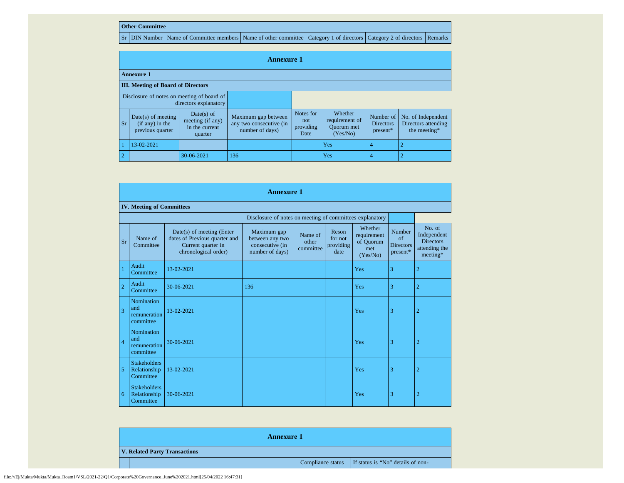## **Other Committee**

Sr DIN Number Name of Committee members Name of other committee Category 1 of directors Category 2 of directors Remarks

|                                           | <b>Annexure 1</b>                                                   |                                                             |                                                                   |                                       |                                                            |                                             |                                                           |  |  |  |
|-------------------------------------------|---------------------------------------------------------------------|-------------------------------------------------------------|-------------------------------------------------------------------|---------------------------------------|------------------------------------------------------------|---------------------------------------------|-----------------------------------------------------------|--|--|--|
| <b>Annexure 1</b>                         |                                                                     |                                                             |                                                                   |                                       |                                                            |                                             |                                                           |  |  |  |
| <b>III.</b> Meeting of Board of Directors |                                                                     |                                                             |                                                                   |                                       |                                                            |                                             |                                                           |  |  |  |
|                                           | Disclosure of notes on meeting of board of<br>directors explanatory |                                                             |                                                                   |                                       |                                                            |                                             |                                                           |  |  |  |
| Sr.                                       | $Date(s)$ of meeting<br>$(if any)$ in the<br>previous quarter       | Date(s) of<br>meeting (if any)<br>in the current<br>quarter | Maximum gap between<br>any two consecutive (in<br>number of days) | Notes for<br>not<br>providing<br>Date | Whether<br>requirement of<br><b>Ouorum</b> met<br>(Yes/No) | Number of<br><b>Directors</b><br>$present*$ | No. of Independent<br>Directors attending<br>the meeting* |  |  |  |
|                                           | 13-02-2021                                                          |                                                             |                                                                   |                                       | Yes                                                        | $\overline{4}$                              |                                                           |  |  |  |
| 2                                         |                                                                     | 30-06-2021                                                  | 136                                                               |                                       | Yes                                                        | 4                                           |                                                           |  |  |  |

|                | <b>Annexure 1</b>                                        |                                                                                                          |                                                                      |                               |                                       |                                                        |                                                    |                                                                        |  |  |  |
|----------------|----------------------------------------------------------|----------------------------------------------------------------------------------------------------------|----------------------------------------------------------------------|-------------------------------|---------------------------------------|--------------------------------------------------------|----------------------------------------------------|------------------------------------------------------------------------|--|--|--|
|                | <b>IV. Meeting of Committees</b>                         |                                                                                                          |                                                                      |                               |                                       |                                                        |                                                    |                                                                        |  |  |  |
|                | Disclosure of notes on meeting of committees explanatory |                                                                                                          |                                                                      |                               |                                       |                                                        |                                                    |                                                                        |  |  |  |
| <b>Sr</b>      | Name of<br>Committee                                     | Date(s) of meeting (Enter<br>dates of Previous quarter and<br>Current quarter in<br>chronological order) | Maximum gap<br>between any two<br>consecutive (in<br>number of days) | Name of<br>other<br>committee | Reson<br>for not<br>providing<br>date | Whether<br>requirement<br>of Quorum<br>met<br>(Yes/No) | Number<br>$\sigma$<br><b>Directors</b><br>present* | No. of<br>Independent<br><b>Directors</b><br>attending the<br>meeting* |  |  |  |
|                | Audit<br>Committee                                       | 13-02-2021                                                                                               |                                                                      |                               |                                       | Yes                                                    | 3                                                  | $\overline{2}$                                                         |  |  |  |
| $\overline{2}$ | Audit<br>Committee                                       | 30-06-2021                                                                                               | 136                                                                  |                               |                                       | Yes                                                    | 3                                                  | $\overline{2}$                                                         |  |  |  |
| 3              | <b>Nomination</b><br>and<br>remuneration<br>committee    | 13-02-2021                                                                                               |                                                                      |                               |                                       | Yes                                                    | 3                                                  | $\overline{2}$                                                         |  |  |  |
| $\overline{4}$ | Nomination<br>and<br>remuneration<br>committee           | 30-06-2021                                                                                               |                                                                      |                               |                                       | Yes                                                    | 3                                                  | $\overline{2}$                                                         |  |  |  |
| 5              | <b>Stakeholders</b><br>Relationship<br>Committee         | 13-02-2021                                                                                               |                                                                      |                               |                                       | Yes                                                    | 3                                                  | $\overline{2}$                                                         |  |  |  |
| 6              | <b>Stakeholders</b><br>Relationship<br>Committee         | 30-06-2021                                                                                               |                                                                      |                               |                                       | Yes                                                    | 3                                                  | $\overline{2}$                                                         |  |  |  |

| <b>Annexure 1</b>             |  |                                                     |  |  |  |  |  |
|-------------------------------|--|-----------------------------------------------------|--|--|--|--|--|
| V. Related Party Transactions |  |                                                     |  |  |  |  |  |
|                               |  | Compliance status If status is "No" details of non- |  |  |  |  |  |